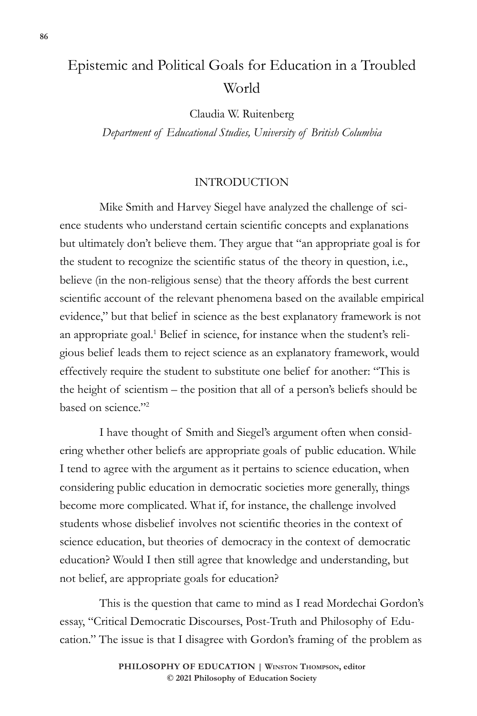# Epistemic and Political Goals for Education in a Troubled World

Claudia W. Ruitenberg

*Department of Educational Studies, University of British Columbia*

#### INTRODUCTION

Mike Smith and Harvey Siegel have analyzed the challenge of science students who understand certain scientific concepts and explanations but ultimately don't believe them. They argue that "an appropriate goal is for the student to recognize the scientific status of the theory in question, i.e., believe (in the non-religious sense) that the theory affords the best current scientific account of the relevant phenomena based on the available empirical evidence," but that belief in science as the best explanatory framework is not an appropriate goal.<sup>1</sup> Belief in science, for instance when the student's religious belief leads them to reject science as an explanatory framework, would effectively require the student to substitute one belief for another: "This is the height of scientism – the position that all of a person's beliefs should be based on science."<sup>2</sup>

I have thought of Smith and Siegel's argument often when considering whether other beliefs are appropriate goals of public education. While I tend to agree with the argument as it pertains to science education, when considering public education in democratic societies more generally, things become more complicated. What if, for instance, the challenge involved students whose disbelief involves not scientific theories in the context of science education, but theories of democracy in the context of democratic education? Would I then still agree that knowledge and understanding, but not belief, are appropriate goals for education?

This is the question that came to mind as I read Mordechai Gordon's essay, "Critical Democratic Discourses, Post-Truth and Philosophy of Education." The issue is that I disagree with Gordon's framing of the problem as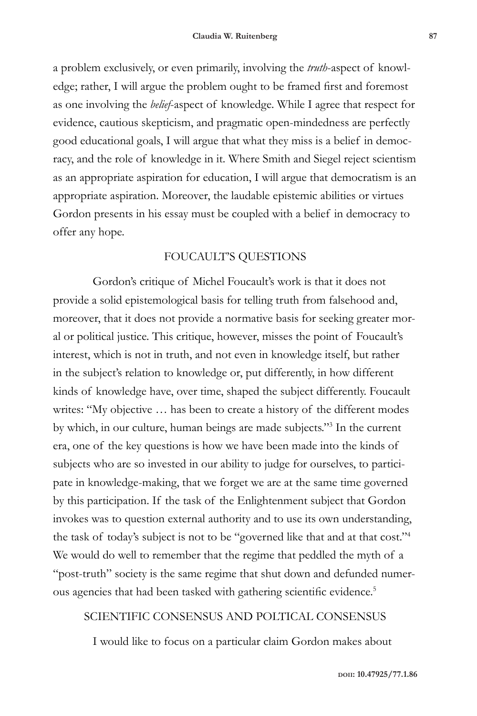a problem exclusively, or even primarily, involving the *truth*-aspect of knowledge; rather, I will argue the problem ought to be framed first and foremost as one involving the *belief*-aspect of knowledge. While I agree that respect for evidence, cautious skepticism, and pragmatic open-mindedness are perfectly good educational goals, I will argue that what they miss is a belief in democracy, and the role of knowledge in it. Where Smith and Siegel reject scientism as an appropriate aspiration for education, I will argue that democratism is an appropriate aspiration. Moreover, the laudable epistemic abilities or virtues Gordon presents in his essay must be coupled with a belief in democracy to offer any hope.

#### FOUCAULT'S QUESTIONS

Gordon's critique of Michel Foucault's work is that it does not provide a solid epistemological basis for telling truth from falsehood and, moreover, that it does not provide a normative basis for seeking greater moral or political justice. This critique, however, misses the point of Foucault's interest, which is not in truth, and not even in knowledge itself, but rather in the subject's relation to knowledge or, put differently, in how different kinds of knowledge have, over time, shaped the subject differently. Foucault writes: "My objective … has been to create a history of the different modes by which, in our culture, human beings are made subjects."<sup>3</sup> In the current era, one of the key questions is how we have been made into the kinds of subjects who are so invested in our ability to judge for ourselves, to participate in knowledge-making, that we forget we are at the same time governed by this participation. If the task of the Enlightenment subject that Gordon invokes was to question external authority and to use its own understanding, the task of today's subject is not to be "governed like that and at that cost."<sup>4</sup> We would do well to remember that the regime that peddled the myth of a "post-truth" society is the same regime that shut down and defunded numerous agencies that had been tasked with gathering scientific evidence.<sup>5</sup>

#### SCIENTIFIC CONSENSUS AND POLTICAL CONSENSUS

I would like to focus on a particular claim Gordon makes about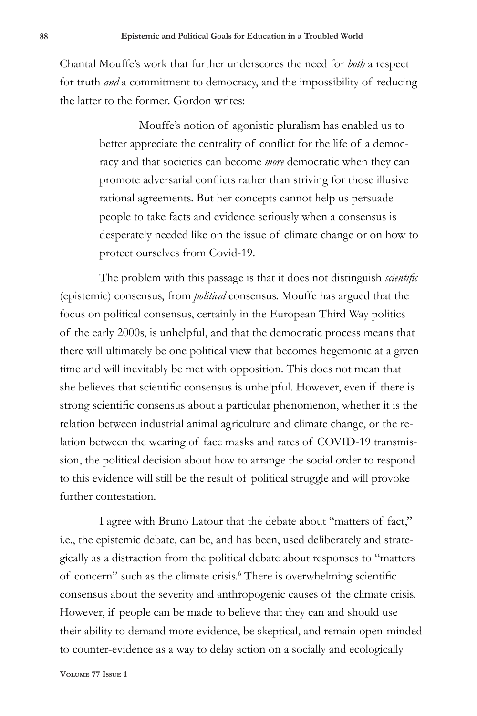Chantal Mouffe's work that further underscores the need for *both* a respect for truth *and* a commitment to democracy, and the impossibility of reducing the latter to the former. Gordon writes:

> Mouffe's notion of agonistic pluralism has enabled us to better appreciate the centrality of conflict for the life of a democracy and that societies can become *more* democratic when they can promote adversarial conflicts rather than striving for those illusive rational agreements. But her concepts cannot help us persuade people to take facts and evidence seriously when a consensus is desperately needed like on the issue of climate change or on how to protect ourselves from Covid-19.

The problem with this passage is that it does not distinguish *scientific* (epistemic) consensus, from *political* consensus. Mouffe has argued that the focus on political consensus, certainly in the European Third Way politics of the early 2000s, is unhelpful, and that the democratic process means that there will ultimately be one political view that becomes hegemonic at a given time and will inevitably be met with opposition. This does not mean that she believes that scientific consensus is unhelpful. However, even if there is strong scientific consensus about a particular phenomenon, whether it is the relation between industrial animal agriculture and climate change, or the relation between the wearing of face masks and rates of COVID-19 transmission, the political decision about how to arrange the social order to respond to this evidence will still be the result of political struggle and will provoke further contestation.

I agree with Bruno Latour that the debate about "matters of fact," i.e., the epistemic debate, can be, and has been, used deliberately and strategically as a distraction from the political debate about responses to "matters of concern" such as the climate crisis.<sup>6</sup> There is overwhelming scientific consensus about the severity and anthropogenic causes of the climate crisis. However, if people can be made to believe that they can and should use their ability to demand more evidence, be skeptical, and remain open-minded to counter-evidence as a way to delay action on a socially and ecologically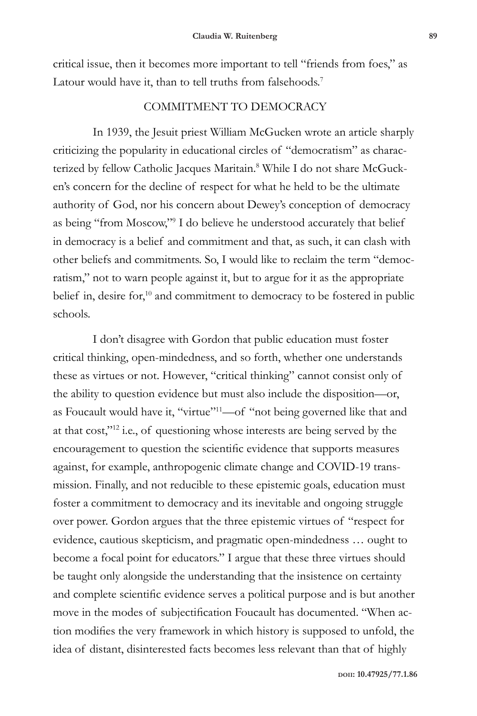critical issue, then it becomes more important to tell "friends from foes," as Latour would have it, than to tell truths from falsehoods.<sup>7</sup>

### COMMITMENT TO DEMOCRACY

In 1939, the Jesuit priest William McGucken wrote an article sharply criticizing the popularity in educational circles of "democratism" as characterized by fellow Catholic Jacques Maritain.<sup>8</sup> While I do not share McGucken's concern for the decline of respect for what he held to be the ultimate authority of God, nor his concern about Dewey's conception of democracy as being "from Moscow,"<sup>9</sup> I do believe he understood accurately that belief in democracy is a belief and commitment and that, as such, it can clash with other beliefs and commitments. So, I would like to reclaim the term "democratism," not to warn people against it, but to argue for it as the appropriate belief in, desire for,<sup>10</sup> and commitment to democracy to be fostered in public schools.

I don't disagree with Gordon that public education must foster critical thinking, open-mindedness, and so forth, whether one understands these as virtues or not. However, "critical thinking" cannot consist only of the ability to question evidence but must also include the disposition—or, as Foucault would have it, "virtue"<sup>11</sup>—of "not being governed like that and at that cost,"<sup>12</sup> i.e., of questioning whose interests are being served by the encouragement to question the scientific evidence that supports measures against, for example, anthropogenic climate change and COVID-19 transmission. Finally, and not reducible to these epistemic goals, education must foster a commitment to democracy and its inevitable and ongoing struggle over power. Gordon argues that the three epistemic virtues of "respect for evidence, cautious skepticism, and pragmatic open-mindedness … ought to become a focal point for educators." I argue that these three virtues should be taught only alongside the understanding that the insistence on certainty and complete scientific evidence serves a political purpose and is but another move in the modes of subjectification Foucault has documented. "When action modifies the very framework in which history is supposed to unfold, the idea of distant, disinterested facts becomes less relevant than that of highly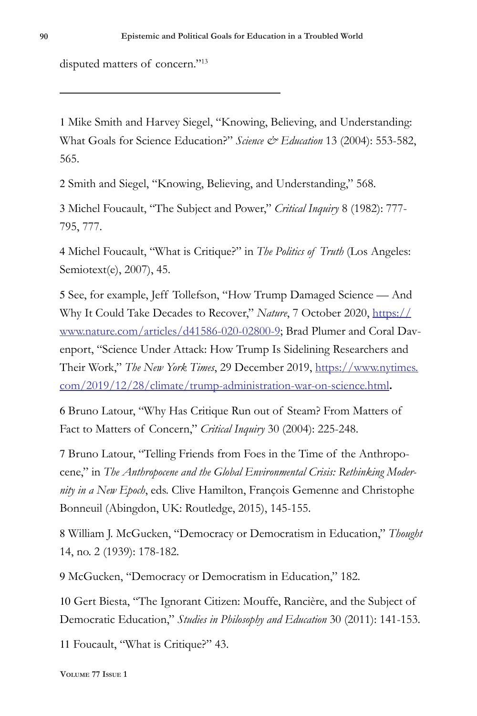disputed matters of concern."<sup>13</sup>

1 Mike Smith and Harvey Siegel, "Knowing, Believing, and Understanding: What Goals for Science Education?" *Science & Education* 13 (2004): 553-582, 565.

2 Smith and Siegel, "Knowing, Believing, and Understanding," 568.

3 Michel Foucault, "The Subject and Power," *Critical Inquiry* 8 (1982): 777- 795, 777.

4 Michel Foucault, "What is Critique?" in *The Politics of Truth* (Los Angeles: Semiotext(e), 2007), 45.

5 See, for example, Jeff Tollefson, "How Trump Damaged Science — And Why It Could Take Decades to Recover," *Nature*, 7 October 2020, https:// www.nature.com/articles/d41586-020-02800-9; Brad Plumer and Coral Davenport, "Science Under Attack: How Trump Is Sidelining Researchers and Their Work," *The New York Times*, 29 December 2019, https://www.nytimes. com/2019/12/28/climate/trump-administration-war-on-science.html**.** 

6 Bruno Latour, "Why Has Critique Run out of Steam? From Matters of Fact to Matters of Concern," *Critical Inquiry* 30 (2004): 225-248.

7 Bruno Latour, "Telling Friends from Foes in the Time of the Anthropocene," in *The Anthropocene and the Global Environmental Crisis: Rethinking Modernity in a New Epoch*, eds. Clive Hamilton, François Gemenne and Christophe Bonneuil (Abingdon, UK: Routledge, 2015), 145-155.

8 William J. McGucken, "Democracy or Democratism in Education," *Thought* 14, no. 2 (1939): 178-182.

9 McGucken, "Democracy or Democratism in Education," 182.

10 Gert Biesta, "The Ignorant Citizen: Mouffe, Rancière, and the Subject of Democratic Education," *Studies in Philosophy and Education* 30 (2011): 141-153.

11 Foucault, "What is Critique?" 43.